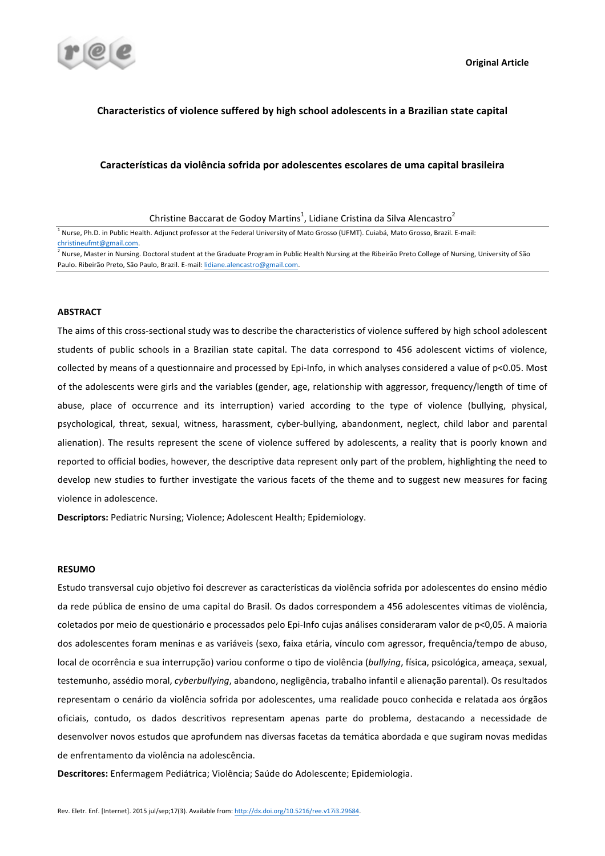

## **Characteristics of violence suffered by high school adolescents in a Brazilian state capital**

### Características da violência sofrida por adolescentes escolares de uma capital brasileira

## **ABSTRACT**

The aims of this cross-sectional study was to describe the characteristics of violence suffered by high school adolescent students of public schools in a Brazilian state capital. The data correspond to 456 adolescent victims of violence, collected by means of a questionnaire and processed by Epi-Info, in which analyses considered a value of p<0.05. Most of the adolescents were girls and the variables (gender, age, relationship with aggressor, frequency/length of time of abuse, place of occurrence and its interruption) varied according to the type of violence (bullying, physical, psychological, threat, sexual, witness, harassment, cyber-bullying, abandonment, neglect, child labor and parental alienation). The results represent the scene of violence suffered by adolescents, a reality that is poorly known and reported to official bodies, however, the descriptive data represent only part of the problem, highlighting the need to develop new studies to further investigate the various facets of the theme and to suggest new measures for facing violence in adolescence.

**Descriptors:** Pediatric Nursing; Violence; Adolescent Health; Epidemiology.

## **RESUMO**

Estudo transversal cujo objetivo foi descrever as características da violência sofrida por adolescentes do ensino médio da rede pública de ensino de uma capital do Brasil. Os dados correspondem a 456 adolescentes vítimas de violência, coletados por meio de questionário e processados pelo Epi-Info cujas análises consideraram valor de p<0,05. A maioria dos adolescentes foram meninas e as variáveis (sexo, faixa etária, vínculo com agressor, frequência/tempo de abuso, local de ocorrência e sua interrupção) variou conforme o tipo de violência (bullying, física, psicológica, ameaça, sexual, testemunho, assédio moral, *cyberbullying*, abandono, negligência, trabalho infantil e alienação parental). Os resultados representam o cenário da violência sofrida por adolescentes, uma realidade pouco conhecida e relatada aos órgãos oficiais, contudo, os dados descritivos representam apenas parte do problema, destacando a necessidade de desenvolver novos estudos que aprofundem nas diversas facetas da temática abordada e que sugiram novas medidas de enfrentamento da violência na adolescência.

Descritores: Enfermagem Pediátrica; Violência; Saúde do Adolescente; Epidemiologia.

Christine Baccarat de Godoy Martins $^1$ , Lidiane Cristina da Silva Alencastro $^2$ 

<sup>&</sup>lt;sup>1</sup> Nurse, Ph.D. in Public Health. Adjunct professor at the Federal University of Mato Grosso (UFMT). Cuiabá, Mato Grosso, Brazil. E-mail: christineufmt@gmail.com.

<sup>&</sup>lt;sup>2</sup> Nurse, Master in Nursing. Doctoral student at the Graduate Program in Public Health Nursing at the Ribeirão Preto College of Nursing, University of São Paulo. Ribeirão Preto, São Paulo, Brazil. E-mail: lidiane.alencastro@gmail.com.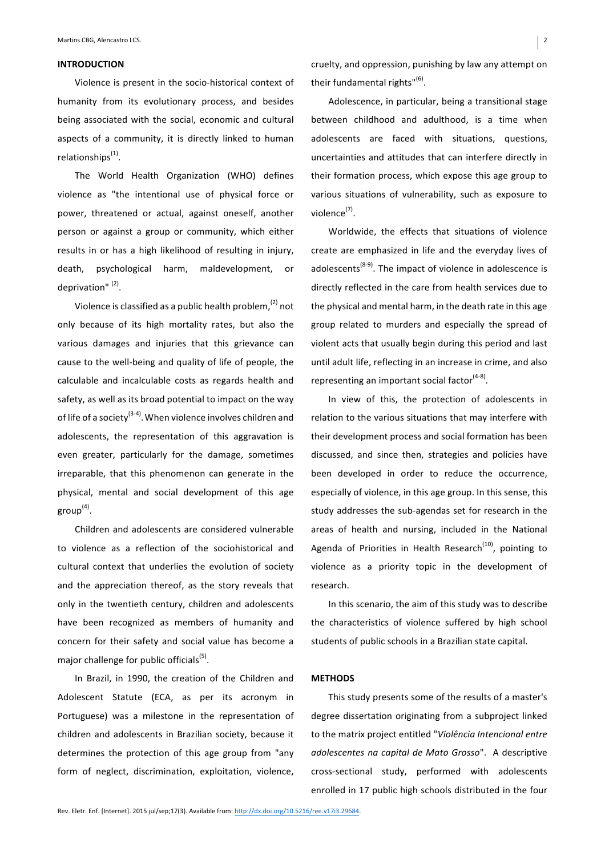## **INTRODUCTION**

Violence is present in the socio-historical context of humanity from its evolutionary process, and besides being associated with the social, economic and cultural aspects of a community, it is directly linked to human relationships $<sup>(1)</sup>$ .</sup>

The World Health Organization (WHO) defines violence as "the intentional use of physical force or power, threatened or actual, against oneself, another person or against a group or community, which either results in or has a high likelihood of resulting in injury, death, psychological harm, maldevelopment, or deprivation"<sup>(2)</sup>.

Violence is classified as a public health problem, $(2)$  not only because of its high mortality rates, but also the various damages and injuries that this grievance can cause to the well-being and quality of life of people, the calculable and incalculable costs as regards health and safety, as well as its broad potential to impact on the way of life of a society<sup>(3-4)</sup>. When violence involves children and adolescents, the representation of this aggravation is even greater, particularly for the damage, sometimes irreparable, that this phenomenon can generate in the physical, mental and social development of this age group $<sup>(4)</sup>$ .</sup>

Children and adolescents are considered vulnerable to violence as a reflection of the sociohistorical and cultural context that underlies the evolution of society and the appreciation thereof, as the story reveals that only in the twentieth century, children and adolescents have been recognized as members of humanity and concern for their safety and social value has become a major challenge for public officials<sup>(5)</sup>.

In Brazil, in 1990, the creation of the Children and Adolescent Statute (ECA, as per its acronym in Portuguese) was a milestone in the representation of children and adolescents in Brazilian society, because it determines the protection of this age group from "any form of neglect, discrimination, exploitation, violence,

cruelty, and oppression, punishing by law any attempt on their fundamental rights" $(6)$ .

Adolescence, in particular, being a transitional stage between childhood and adulthood, is a time when adolescents are faced with situations, questions, uncertainties and attitudes that can interfere directly in their formation process, which expose this age group to various situations of vulnerability, such as exposure to violence<sup>(7)</sup>.

Worldwide, the effects that situations of violence create are emphasized in life and the everyday lives of adolescents<sup>(8-9)</sup>. The impact of violence in adolescence is directly reflected in the care from health services due to the physical and mental harm, in the death rate in this age group related to murders and especially the spread of violent acts that usually begin during this period and last until adult life, reflecting in an increase in crime, and also representing an important social factor<sup> $(4-8)$ </sup>.

In view of this, the protection of adolescents in relation to the various situations that may interfere with their development process and social formation has been discussed, and since then, strategies and policies have been developed in order to reduce the occurrence, especially of violence, in this age group. In this sense, this study addresses the sub-agendas set for research in the areas of health and nursing, included in the National Agenda of Priorities in Health Research<sup>(10)</sup>, pointing to violence as a priority topic in the development of research. 

In this scenario, the aim of this study was to describe the characteristics of violence suffered by high school students of public schools in a Brazilian state capital.

#### **METHODS**

This study presents some of the results of a master's degree dissertation originating from a subproject linked to the matrix project entitled "Violência Intencional entre *adolescentes na capital de Mato Grosso*". A descriptive cross-sectional study, performed with adolescents enrolled in 17 public high schools distributed in the four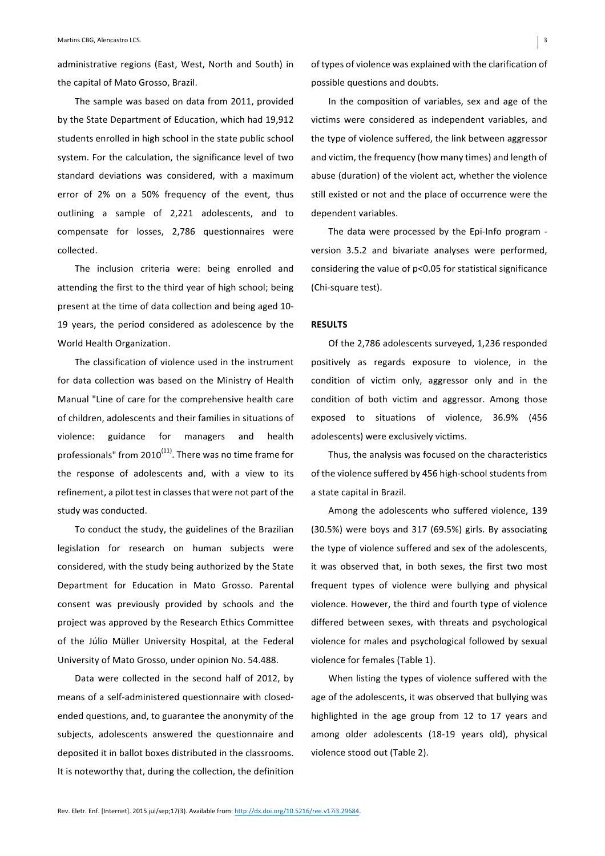administrative regions (East, West, North and South) in the capital of Mato Grosso, Brazil.

The sample was based on data from 2011, provided by the State Department of Education, which had 19,912 students enrolled in high school in the state public school system. For the calculation, the significance level of two standard deviations was considered, with a maximum error of 2% on a 50% frequency of the event, thus outlining a sample of 2,221 adolescents, and to compensate for losses, 2,786 questionnaires were collected.

The inclusion criteria were: being enrolled and attending the first to the third year of high school; being present at the time of data collection and being aged 10-19 years, the period considered as adolescence by the World Health Organization.

The classification of violence used in the instrument for data collection was based on the Ministry of Health Manual "Line of care for the comprehensive health care of children, adolescents and their families in situations of violence: guidance for managers and health professionals" from  $2010^{(11)}$ . There was no time frame for the response of adolescents and, with a view to its refinement, a pilot test in classes that were not part of the study was conducted.

To conduct the study, the guidelines of the Brazilian legislation for research on human subjects were considered, with the study being authorized by the State Department for Education in Mato Grosso. Parental consent was previously provided by schools and the project was approved by the Research Ethics Committee of the Júlio Müller University Hospital, at the Federal University of Mato Grosso, under opinion No. 54.488.

Data were collected in the second half of 2012, by means of a self-administered questionnaire with closedended questions, and, to guarantee the anonymity of the subjects, adolescents answered the questionnaire and deposited it in ballot boxes distributed in the classrooms. It is noteworthy that, during the collection, the definition

of types of violence was explained with the clarification of possible questions and doubts.

In the composition of variables, sex and age of the victims were considered as independent variables, and the type of violence suffered, the link between aggressor and victim, the frequency (how many times) and length of abuse (duration) of the violent act, whether the violence still existed or not and the place of occurrence were the dependent variables.

The data were processed by the Epi-Info program version 3.5.2 and bivariate analyses were performed, considering the value of  $p$ <0.05 for statistical significance (Chi-square test).

### **RESULTS**

Of the 2,786 adolescents surveyed, 1,236 responded positively as regards exposure to violence, in the condition of victim only, aggressor only and in the condition of both victim and aggressor. Among those exposed to situations of violence, 36.9% (456 adolescents) were exclusively victims.

Thus, the analysis was focused on the characteristics of the violence suffered by 456 high-school students from a state capital in Brazil.

Among the adolescents who suffered violence, 139  $(30.5\%)$  were boys and 317  $(69.5\%)$  girls. By associating the type of violence suffered and sex of the adolescents, it was observed that, in both sexes, the first two most frequent types of violence were bullying and physical violence. However, the third and fourth type of violence differed between sexes, with threats and psychological violence for males and psychological followed by sexual violence for females (Table 1).

When listing the types of violence suffered with the age of the adolescents, it was observed that bullying was highlighted in the age group from 12 to 17 years and among older adolescents (18-19 years old), physical violence stood out (Table 2).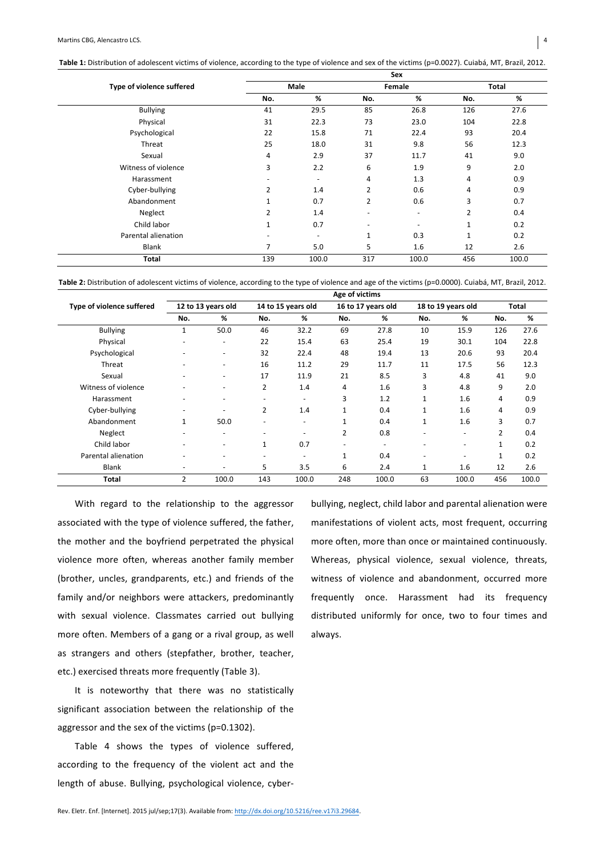Table 1: Distribution of adolescent victims of violence, according to the type of violence and sex of the victims (p=0.0027). Cuiabá, MT, Brazil, 2012.

|                           |                          |             |                | Sex                      |                |       |  |
|---------------------------|--------------------------|-------------|----------------|--------------------------|----------------|-------|--|
| Type of violence suffered |                          | <b>Male</b> |                | Female                   | Total          |       |  |
|                           | No.                      | %           | No.            | %                        | No.            | %     |  |
| <b>Bullying</b>           | 41                       | 29.5        | 85             | 26.8                     | 126            | 27.6  |  |
| Physical                  | 31                       | 22.3        | 73             | 23.0                     | 104            | 22.8  |  |
| Psychological             | 22                       | 15.8        | 71             | 22.4                     | 93             | 20.4  |  |
| Threat                    | 25                       | 18.0        | 31             | 9.8                      | 56             | 12.3  |  |
| Sexual                    | 4                        | 2.9         | 37             | 11.7                     | 41             | 9.0   |  |
| Witness of violence       | 3                        | 2.2         | 6              | 1.9                      | 9              | 2.0   |  |
| Harassment                | $\overline{\phantom{a}}$ | ٠           | 4              | 1.3                      | 4              | 0.9   |  |
| Cyber-bullying            | 2                        | 1.4         | 2              | 0.6                      | 4              | 0.9   |  |
| Abandonment               |                          | 0.7         | $\overline{2}$ | 0.6                      | 3              | 0.7   |  |
| Neglect                   | $\overline{2}$           | 1.4         | ٠              | ٠                        | $\overline{2}$ | 0.4   |  |
| Child labor               | $\mathbf{1}$             | 0.7         | ٠              | $\overline{\phantom{a}}$ | $\mathbf{1}$   | 0.2   |  |
| Parental alienation       | $\overline{\phantom{a}}$ |             | $\mathbf{1}$   | 0.3                      | $\mathbf{1}$   | 0.2   |  |
| Blank                     | 7                        | 5.0         | 5              | 1.6                      | 12             | 2.6   |  |
| Total                     | 139                      | 100.0       | 317            | 100.0                    | 456            | 100.0 |  |

Table 2: Distribution of adolescent victims of violence, according to the type of violence and age of the victims (p=0.0000). Cuiabá, MT, Brazil, 2012.

|                           |                          | Age of victims           |                          |                          |              |                    |                          |                    |                |       |  |  |  |
|---------------------------|--------------------------|--------------------------|--------------------------|--------------------------|--------------|--------------------|--------------------------|--------------------|----------------|-------|--|--|--|
| Type of violence suffered |                          | 12 to 13 years old       |                          | 14 to 15 years old       |              | 16 to 17 years old |                          | 18 to 19 years old | <b>Total</b>   |       |  |  |  |
|                           | No.                      | %                        | No.                      | %                        | No.          | %                  | No.                      | %                  | No.            | %     |  |  |  |
| <b>Bullying</b>           | $\mathbf{1}$             | 50.0                     | 46                       | 32.2                     | 69           | 27.8               | 10                       | 15.9               | 126            | 27.6  |  |  |  |
| Physical                  | ٠                        | ٠                        | 22                       | 15.4                     | 63           | 25.4               | 19                       | 30.1               | 104            | 22.8  |  |  |  |
| Psychological             | ٠                        | ٠                        | 32                       | 22.4                     | 48           | 19.4               | 13                       | 20.6               | 93             | 20.4  |  |  |  |
| Threat                    | ٠                        | ٠                        | 16                       | 11.2                     | 29           | 11.7               | 11                       | 17.5               | 56             | 12.3  |  |  |  |
| Sexual                    | ٠                        | ٠                        | 17                       | 11.9                     | 21           | 8.5                | 3                        | 4.8                | 41             | 9.0   |  |  |  |
| Witness of violence       | ٠                        | ٠                        | $\overline{2}$           | 1.4                      | 4            | 1.6                | 3                        | 4.8                | 9              | 2.0   |  |  |  |
| Harassment                | ٠                        | $\overline{\phantom{0}}$ | ٠                        |                          | 3            | 1.2                | 1                        | 1.6                | 4              | 0.9   |  |  |  |
| Cyber-bullying            | ٠                        | $\overline{\phantom{0}}$ | $\overline{2}$           | 1.4                      | 1            | 0.4                | 1                        | 1.6                | 4              | 0.9   |  |  |  |
| Abandonment               | $\mathbf{1}$             | 50.0                     | $\overline{\phantom{a}}$ | $\overline{\phantom{a}}$ | $\mathbf{1}$ | 0.4                | 1                        | 1.6                | 3              | 0.7   |  |  |  |
| Neglect                   | ٠                        | ٠                        | $\overline{\phantom{0}}$ |                          | 2            | 0.8                |                          | ٠                  | $\overline{2}$ | 0.4   |  |  |  |
| Child labor               | ٠                        | ٠                        | $\mathbf{1}$             | 0.7                      | ٠            | ٠                  | $\overline{\phantom{0}}$ | ٠                  | $\mathbf{1}$   | 0.2   |  |  |  |
| Parental alienation       | $\overline{\phantom{0}}$ | $\overline{\phantom{0}}$ | ٠                        |                          | 1            | 0.4                | $\overline{\phantom{a}}$ | ٠                  | $\mathbf{1}$   | 0.2   |  |  |  |
| <b>Blank</b>              | ٠                        | ٠                        | 5                        | 3.5                      | 6            | 2.4                | 1                        | 1.6                | 12             | 2.6   |  |  |  |
| <b>Total</b>              | $\overline{2}$           | 100.0                    | 143                      | 100.0                    | 248          | 100.0              | 63                       | 100.0              | 456            | 100.0 |  |  |  |

With regard to the relationship to the aggressor associated with the type of violence suffered, the father, the mother and the boyfriend perpetrated the physical violence more often, whereas another family member (brother, uncles, grandparents, etc.) and friends of the family and/or neighbors were attackers, predominantly with sexual violence. Classmates carried out bullying more often. Members of a gang or a rival group, as well as strangers and others (stepfather, brother, teacher, etc.) exercised threats more frequently (Table 3).

It is noteworthy that there was no statistically significant association between the relationship of the aggressor and the sex of the victims (p=0.1302).

Table 4 shows the types of violence suffered, according to the frequency of the violent act and the length of abuse. Bullying, psychological violence, cyberbullying, neglect, child labor and parental alienation were manifestations of violent acts, most frequent, occurring more often, more than once or maintained continuously. Whereas, physical violence, sexual violence, threats, witness of violence and abandonment, occurred more frequently once. Harassment had its frequency distributed uniformly for once, two to four times and always.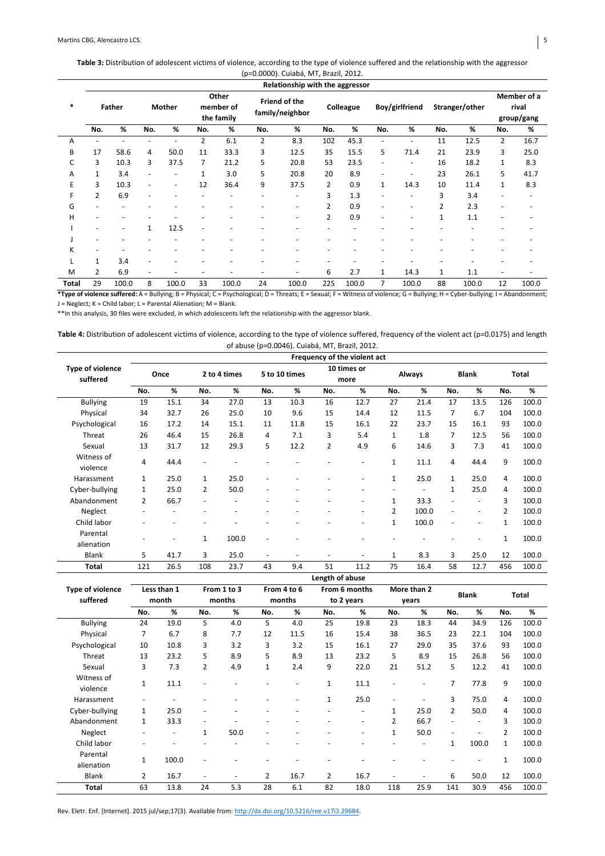# Table 3: Distribution of adolescent victims of violence, according to the type of violence suffered and the relationship with the aggressor

|        |                                 |       |                |       |                                  |       |                                  | (p=0.0000). Cuiabá, MT, Brazil, 2012. |                |       |                          |                          |                |       |                                    |       |
|--------|---------------------------------|-------|----------------|-------|----------------------------------|-------|----------------------------------|---------------------------------------|----------------|-------|--------------------------|--------------------------|----------------|-------|------------------------------------|-------|
|        | Relationship with the aggressor |       |                |       |                                  |       |                                  |                                       |                |       |                          |                          |                |       |                                    |       |
| $\ast$ | <b>Father</b>                   |       | <b>Mother</b>  |       | Other<br>member of<br>the family |       | Friend of the<br>family/neighbor |                                       | Colleague      |       | Boy/girlfriend           |                          | Stranger/other |       | Member of a<br>rival<br>group/gang |       |
|        | No.                             | %     | No.            | %     | No.                              | %     | No.                              | %                                     | No.            | %     | No.                      | %                        | No.            | %     | No.                                | %     |
| A      | ٠                               |       | $\overline{a}$ |       | $\overline{2}$                   | 6.1   | $\overline{2}$                   | 8.3                                   | 102            | 45.3  | ٠                        | ٠                        | 11             | 12.5  | $\overline{2}$                     | 16.7  |
| B      | 17                              | 58.6  | 4              | 50.0  | 11                               | 33.3  | 3                                | 12.5                                  | 35             | 15.5  | 5                        | 71.4                     | 21             | 23.9  | 3                                  | 25.0  |
| C      | 3                               | 10.3  | 3              | 37.5  | $\overline{7}$                   | 21.2  | 5                                | 20.8                                  | 53             | 23.5  | ٠                        | $\overline{\phantom{a}}$ | 16             | 18.2  | 1                                  | 8.3   |
| Α      | 1                               | 3.4   |                |       | $\mathbf{1}$                     | 3.0   | 5                                | 20.8                                  | 20             | 8.9   | $\overline{\phantom{a}}$ | ٠                        | 23             | 26.1  | 5                                  | 41.7  |
| E      | 3                               | 10.3  |                | ٠     | 12                               | 36.4  | 9                                | 37.5                                  | $\overline{2}$ | 0.9   | 1                        | 14.3                     | 10             | 11.4  | 1                                  | 8.3   |
| F      | 2                               | 6.9   |                |       |                                  |       |                                  |                                       | 3              | 1.3   | ٠                        | $\overline{\phantom{a}}$ | 3              | 3.4   |                                    | ٠     |
| G      |                                 |       |                |       |                                  |       |                                  | ٠                                     | $\overline{2}$ | 0.9   | ٠                        | ٠                        | 2              | 2.3   |                                    |       |
| н      |                                 |       |                |       |                                  |       |                                  | ٠                                     | $\overline{2}$ | 0.9   | ٠                        | ٠                        | $\mathbf{1}$   | 1.1   |                                    |       |
|        |                                 | ٠     | 1              | 12.5  | ٠                                |       |                                  |                                       |                |       |                          |                          |                |       |                                    |       |
|        |                                 |       |                |       |                                  |       |                                  |                                       |                |       |                          |                          |                |       |                                    |       |
| K      |                                 |       |                |       |                                  |       |                                  |                                       |                |       |                          |                          |                |       |                                    |       |
| L      | 1                               | 3.4   |                |       |                                  |       |                                  |                                       |                |       |                          |                          |                |       |                                    |       |
| M      | 2                               | 6.9   |                |       |                                  |       |                                  | ٠                                     | 6              | 2.7   | 1                        | 14.3                     | 1              | 1.1   |                                    |       |
| Total  | 29                              | 100.0 | 8              | 100.0 | 33                               | 100.0 | 24                               | 100.0                                 | 225            | 100.0 | 7                        | 100.0                    | 88             | 100.0 | 12                                 | 100.0 |

\*Type of violence suffered: A = Bullying; B = Physical; C = Psychological; D = Threats; E = Sexual; F = Witness of violence; G = Bullying; H = Cyber-bullying; I = Abandonment; J = Neglect; K = Child labor; L = Parental Alienation; M = Blank.

\*\*In this analysis, 30 files were excluded, in which adolescents left the relationship with the aggressor blank.

Table 4: Distribution of adolescent victims of violence, according to the type of violence suffered, frequency of the violent act (p=0.0175) and length of abuse (p=0.0046). Cuiabá, MT, Brazil, 2012.

|                              | Frequency of the violent act |      |                          |              |                          |               |                 |                          |                |        |                          |                          |                                                                                                                        |              |
|------------------------------|------------------------------|------|--------------------------|--------------|--------------------------|---------------|-----------------|--------------------------|----------------|--------|--------------------------|--------------------------|------------------------------------------------------------------------------------------------------------------------|--------------|
| Type of violence<br>suffered | Once                         |      |                          | 2 to 4 times |                          | 5 to 10 times |                 | 10 times or<br>more      |                | Always |                          | <b>Blank</b>             |                                                                                                                        | <b>Total</b> |
|                              | No.                          | %    | No.                      | %            | No.                      | %             | No.             | %                        | No.            | %      | No.                      | %                        | No.<br>126<br>104<br>93<br>56<br>41<br>9<br>4<br>4<br>3<br>$\overline{2}$<br>$\mathbf{1}$<br>$\mathbf{1}$<br>12<br>456 | %            |
| <b>Bullying</b>              | 19                           | 15.1 | 34                       | 27.0         | 13                       | 10.3          | 16              | 12.7                     | 27             | 21.4   | 17                       | 13.5                     |                                                                                                                        | 100.0        |
| Physical                     | 34                           | 32.7 | 26                       | 25.0         | 10                       | 9.6           | 15              | 14.4                     | 12             | 11.5   | 7                        | 6.7                      |                                                                                                                        | 100.0        |
| Psychological                | 16                           | 17.2 | 14                       | 15.1         | 11                       | 11.8          | 15              | 16.1                     | 22             | 23.7   | 15                       | 16.1                     |                                                                                                                        | 100.0        |
| Threat                       | 26                           | 46.4 | 15                       | 26.8         | 4                        | 7.1           | 3               | 5.4                      | $\mathbf{1}$   | 1.8    | 7                        | 12.5                     |                                                                                                                        | 100.0        |
| Sexual                       | 13                           | 31.7 | 12                       | 29.3         | 5                        | 12.2          | $\overline{2}$  | 4.9                      | 6              | 14.6   | 3                        | 7.3                      |                                                                                                                        | 100.0        |
| Witness of<br>violence       | 4                            | 44.4 | ٠                        |              |                          |               |                 | $\overline{\phantom{a}}$ | $\mathbf 1$    | 11.1   | 4                        | 44.4                     |                                                                                                                        | 100.0        |
| Harassment                   | $\mathbf{1}$                 | 25.0 | $\mathbf{1}$             | 25.0         | ٠                        |               |                 | $\overline{\phantom{a}}$ | $\mathbf{1}$   | 25.0   | $\mathbf{1}$             | 25.0                     |                                                                                                                        | 100.0        |
| Cyber-bullying               | 1                            | 25.0 | 2                        | 50.0         | ٠                        | ٠             |                 | $\overline{\phantom{a}}$ | ٠              | ٠      | $\mathbf{1}$             | 25.0                     |                                                                                                                        | 100.0        |
| Abandonment                  | $\overline{2}$               | 66.7 | $\overline{\phantom{a}}$ |              |                          |               | ٠               | $\overline{a}$           | $\mathbf{1}$   | 33.3   | $\overline{a}$           | ٠                        |                                                                                                                        | 100.0        |
| Neglect                      | ٠                            |      | ٠                        |              |                          |               |                 | $\overline{\phantom{a}}$ | $\overline{2}$ | 100.0  | $\overline{\phantom{a}}$ | $\overline{\phantom{a}}$ |                                                                                                                        | 100.0        |
| Child labor                  |                              |      |                          |              |                          |               |                 | ٠                        | $\mathbf{1}$   | 100.0  | ÷,                       | ٠                        |                                                                                                                        | 100.0        |
| Parental<br>alienation       |                              |      | $\mathbf{1}$             | 100.0        | $\overline{a}$           |               |                 |                          |                |        |                          | ۰                        |                                                                                                                        | 100.0        |
| <b>Blank</b>                 | 5                            | 41.7 | 3                        | 25.0         | $\overline{\phantom{a}}$ | ٠             | ٠               | ٠                        | $\mathbf{1}$   | 8.3    | 3                        | 25.0                     |                                                                                                                        | 100.0        |
| Total                        | 121                          | 26.5 | 108                      | 23.7         | 43                       | 9.4           | 51              | 11.2                     | 75             | 16.4   | 58                       | 12.7                     |                                                                                                                        | 100.0        |
|                              |                              |      |                          |              |                          |               | Length of abuse |                          |                |        |                          |                          |                                                                                                                        |              |

|                         | . .                  |       |                          |             |                |             |                |               |                |             |                |              |              |              |  |
|-------------------------|----------------------|-------|--------------------------|-------------|----------------|-------------|----------------|---------------|----------------|-------------|----------------|--------------|--------------|--------------|--|
| <b>Type of violence</b> | Less than 1<br>month |       |                          | From 1 to 3 |                | From 4 to 6 |                | From 6 months |                | More than 2 |                | <b>Blank</b> |              | <b>Total</b> |  |
| suffered                |                      |       |                          | months      |                | months      |                | to 2 years    |                | years       |                |              |              |              |  |
|                         | No.                  | %     | No.                      | %           | No.            | %           | No.            | %             | No.            | %           | No.            | %            | No.          | %            |  |
| <b>Bullying</b>         | 24                   | 19.0  | 5                        | 4.0         | 5              | 4.0         | 25             | 19.8          | 23             | 18.3        | 44             | 34.9         | 126          | 100.0        |  |
| Physical                | 7                    | 6.7   | 8                        | 7.7         | 12             | 11.5        | 16             | 15.4          | 38             | 36.5        | 23             | 22.1         | 104          | 100.0        |  |
| Psychological           | 10                   | 10.8  | 3                        | 3.2         | 3              | 3.2         | 15             | 16.1          | 27             | 29.0        | 35             | 37.6         | 93           | 100.0        |  |
| Threat                  | 13                   | 23.2  | 5                        | 8.9         | 5              | 8.9         | 13             | 23.2          | 5              | 8.9         | 15             | 26.8         | 56           | 100.0        |  |
| Sexual                  | 3                    | 7.3   | $\overline{2}$           | 4.9         | $\mathbf{1}$   | 2.4         | 9              | 22.0          | 21             | 51.2        | 5              | 12.2         | 41           | 100.0        |  |
| Witness of<br>violence  | $\mathbf{1}$         | 11.1  | ٠                        |             |                | ٠           | $\mathbf{1}$   | 11.1          |                | ٠           | 7              | 77.8         | 9            | 100.0        |  |
| Harassment              |                      |       |                          |             |                |             | $\mathbf{1}$   | 25.0          | $\sim$         |             | 3              | 75.0         | 4            | 100.0        |  |
| Cyber-bullying          | 1                    | 25.0  | ٠                        |             |                |             | ۰              | ٠             | 1              | 25.0        | $\overline{2}$ | 50.0         | 4            | 100.0        |  |
| Abandonment             | 1                    | 33.3  | $\overline{\phantom{a}}$ |             |                |             |                | ٠             | $\overline{2}$ | 66.7        |                | ٠            | 3            | 100.0        |  |
| Neglect                 |                      |       | $\mathbf{1}$             | 50.0        |                |             |                | ٠             | $\mathbf{1}$   | 50.0        |                |              | 2            | 100.0        |  |
| Child labor             |                      |       |                          |             |                |             |                |               |                | ٠           | 1              | 100.0        | $\mathbf{1}$ | 100.0        |  |
| Parental<br>alienation  | 1                    | 100.0 |                          |             |                |             |                |               |                |             |                |              | 1            | 100.0        |  |
| Blank                   | $\overline{2}$       | 16.7  | ٠                        | ٠           | $\overline{2}$ | 16.7        | $\overline{2}$ | 16.7          |                | ٠           | 6              | 50.0         | 12           | 100.0        |  |
| <b>Total</b>            | 63                   | 13.8  | 24                       | 5.3         | 28             | 6.1         | 82             | 18.0          | 118            | 25.9        | 141            | 30.9         | 456          | 100.0        |  |

Rev. Eletr. Enf. [Internet]. 2015 jul/sep;17(3). Available from: http://dx.doi.org/10.5216/ree.v17i3.29684.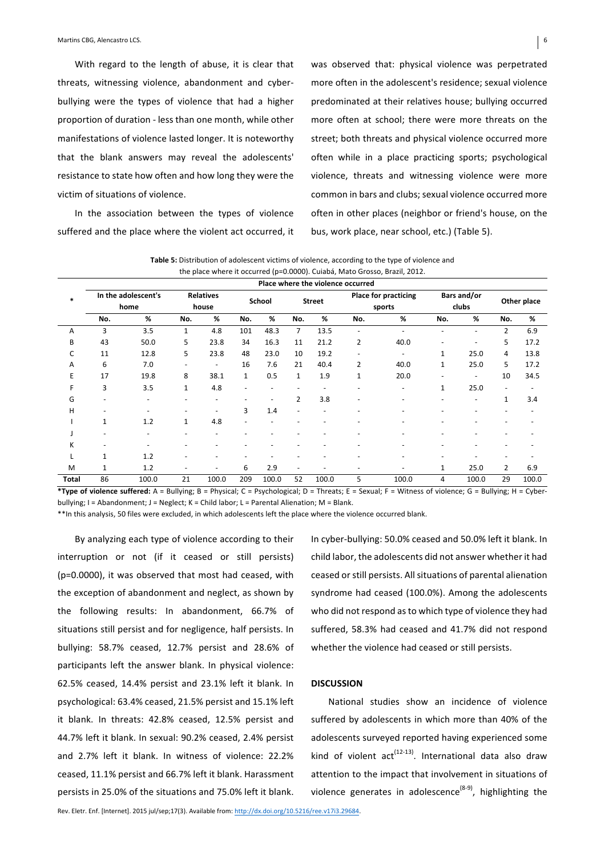With regard to the length of abuse, it is clear that threats, witnessing violence, abandonment and cyberbullying were the types of violence that had a higher proportion of duration - less than one month, while other manifestations of violence lasted longer. It is noteworthy that the blank answers may reveal the adolescents' resistance to state how often and how long they were the victim of situations of violence.

In the association between the types of violence suffered and the place where the violent act occurred, it was observed that: physical violence was perpetrated more often in the adolescent's residence; sexual violence predominated at their relatives house; bullying occurred more often at school; there were more threats on the street; both threats and physical violence occurred more often while in a place practicing sports; psychological violence, threats and witnessing violence were more common in bars and clubs; sexual violence occurred more often in other places (neighbor or friend's house, on the bus, work place, near school, etc.) (Table 5).

Table 5: Distribution of adolescent victims of violence, according to the type of violence and the place where it occurred (p=0.0000). Cuiabá, Mato Grosso, Brazil, 2012.

|       | Place where the violence occurred |                          |              |                          |              |        |                          |               |                          |                             |              |             |                          |             |
|-------|-----------------------------------|--------------------------|--------------|--------------------------|--------------|--------|--------------------------|---------------|--------------------------|-----------------------------|--------------|-------------|--------------------------|-------------|
| *     | In the adolescent's<br>home       |                          |              | <b>Relatives</b>         |              | School |                          | <b>Street</b> |                          | <b>Place for practicing</b> |              | Bars and/or |                          | Other place |
|       |                                   |                          |              | house                    |              |        |                          |               |                          | sports                      |              | clubs       |                          |             |
|       | No.                               | %                        | No.          | %                        | No.          | %      | No.                      | %             | No.                      | %                           | No.          | %           | No.                      | %           |
| А     | 3                                 | 3.5                      | 1            | 4.8                      | 101          | 48.3   | 7                        | 13.5          | $\overline{\phantom{0}}$ |                             |              | ÷.          | $\overline{2}$           | 6.9         |
| B     | 43                                | 50.0                     | 5            | 23.8                     | 34           | 16.3   | 11                       | 21.2          | 2                        | 40.0                        |              | ۰           | 5                        | 17.2        |
| C     | 11                                | 12.8                     | 5            | 23.8                     | 48           | 23.0   | 10                       | 19.2          | ۰                        |                             | $\mathbf{1}$ | 25.0        | 4                        | 13.8        |
| A     | 6                                 | 7.0                      | ٠            | $\overline{\phantom{a}}$ | 16           | 7.6    | 21                       | 40.4          | 2                        | 40.0                        | 1            | 25.0        | 5                        | 17.2        |
| E     | 17                                | 19.8                     | 8            | 38.1                     | $\mathbf{1}$ | 0.5    | $\mathbf{1}$             | 1.9           | $\mathbf{1}$             | 20.0                        |              | ٠           | 10                       | 34.5        |
|       | 3                                 | 3.5                      | $\mathbf{1}$ | 4.8                      |              | ٠      |                          |               | -                        |                             | 1            | 25.0        | $\overline{\phantom{a}}$ |             |
| G     |                                   | $\overline{\phantom{0}}$ | ٠            | $\overline{\phantom{a}}$ |              | ٠      | $\overline{2}$           | 3.8           | ٠                        |                             |              | ٠           | 1                        | 3.4         |
| н     |                                   |                          |              | $\overline{\phantom{a}}$ | 3            | 1.4    |                          |               |                          |                             |              |             |                          |             |
|       | 1                                 | 1.2                      | $\mathbf{1}$ | 4.8                      |              |        |                          |               |                          |                             |              |             |                          |             |
|       |                                   |                          |              |                          |              |        |                          |               |                          |                             |              |             |                          |             |
| K     |                                   |                          |              |                          |              |        |                          |               |                          |                             |              |             |                          |             |
|       | 1                                 | 1.2                      |              |                          |              |        |                          |               |                          |                             |              |             |                          |             |
| M     | 1                                 | 1.2                      | ٠            | $\overline{\phantom{a}}$ | 6            | 2.9    | $\overline{\phantom{a}}$ |               | ۰                        |                             | $\mathbf{1}$ | 25.0        | $\overline{2}$           | 6.9         |
| Total | 86                                | 100.0                    | 21           | 100.0                    | 209          | 100.0  | 52                       | 100.0         | 5                        | 100.0                       | 4            | 100.0       | 29                       | 100.0       |

\*Type of violence suffered: A = Bullying; B = Physical; C = Psychological; D = Threats; E = Sexual; F = Witness of violence; G = Bullying; H = Cyberbullying;  $I =$  Abandonment;  $J =$  Neglect;  $K =$  Child labor;  $L =$  Parental Alienation; M = Blank.

\*\*In this analysis, 50 files were excluded, in which adolescents left the place where the violence occurred blank.

By analyzing each type of violence according to their interruption or not (if it ceased or still persists)  $(p=0.0000)$ , it was observed that most had ceased, with the exception of abandonment and neglect, as shown by the following results: In abandonment, 66.7% of situations still persist and for negligence, half persists. In bullying: 58.7% ceased, 12.7% persist and 28.6% of participants left the answer blank. In physical violence: 62.5% ceased, 14.4% persist and 23.1% left it blank. In psychological: 63.4% ceased, 21.5% persist and 15.1% left it blank. In threats: 42.8% ceased, 12.5% persist and 44.7% left it blank. In sexual: 90.2% ceased, 2.4% persist and 2.7% left it blank. In witness of violence: 22.2% ceased, 11.1% persist and 66.7% left it blank. Harassment persists in 25.0% of the situations and 75.0% left it blank.

In cyber-bullying: 50.0% ceased and 50.0% left it blank. In child labor, the adolescents did not answer whether it had ceased or still persists. All situations of parental alienation syndrome had ceased (100.0%). Among the adolescents who did not respond as to which type of violence they had suffered, 58.3% had ceased and 41.7% did not respond whether the violence had ceased or still persists.

## **DISCUSSION**

National studies show an incidence of violence suffered by adolescents in which more than 40% of the adolescents surveyed reported having experienced some kind of violent  $act^{(12-13)}$ . International data also draw attention to the impact that involvement in situations of violence generates in adolescence<sup>(8-9)</sup>, highlighting the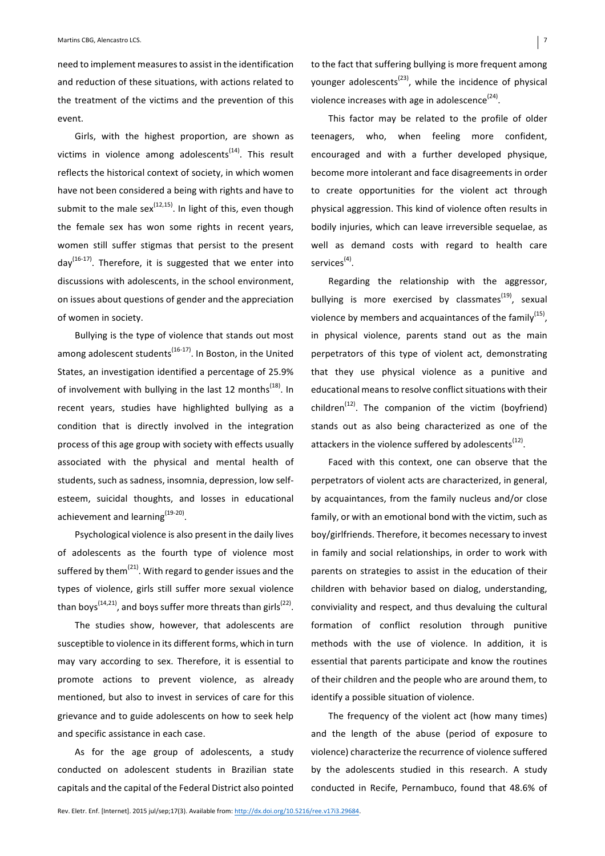need to implement measures to assist in the identification and reduction of these situations, with actions related to the treatment of the victims and the prevention of this event.

Girls, with the highest proportion, are shown as victims in violence among adolescents<sup> $(14)$ </sup>. This result reflects the historical context of society, in which women have not been considered a being with rights and have to submit to the male  $sex^{(12,15)}$ . In light of this, even though the female sex has won some rights in recent years, women still suffer stigmas that persist to the present  $day^{(16-17)}$ . Therefore, it is suggested that we enter into discussions with adolescents, in the school environment, on issues about questions of gender and the appreciation of women in society.

Bullying is the type of violence that stands out most among adolescent students<sup>(16-17)</sup>. In Boston, in the United States, an investigation identified a percentage of 25.9% of involvement with bullying in the last 12 months<sup>(18)</sup>. In recent years, studies have highlighted bullying as a condition that is directly involved in the integration process of this age group with society with effects usually associated with the physical and mental health of students, such as sadness, insomnia, depression, low selfesteem, suicidal thoughts, and losses in educational achievement and learning $(19-20)$ .

Psychological violence is also present in the daily lives of adolescents as the fourth type of violence most suffered by them $^{(21)}$ . With regard to gender issues and the types of violence, girls still suffer more sexual violence than boys<sup>(14,21)</sup>, and boys suffer more threats than girls<sup>(22)</sup>.

The studies show, however, that adolescents are susceptible to violence in its different forms, which in turn may vary according to sex. Therefore, it is essential to promote actions to prevent violence, as already mentioned, but also to invest in services of care for this grievance and to guide adolescents on how to seek help and specific assistance in each case.

As for the age group of adolescents, a study conducted on adolescent students in Brazilian state capitals and the capital of the Federal District also pointed to the fact that suffering bullying is more frequent among younger adolescents<sup> $(23)$ </sup>, while the incidence of physical violence increases with age in adolescence<sup>(24)</sup>.

This factor may be related to the profile of older teenagers, who, when feeling more confident, encouraged and with a further developed physique, become more intolerant and face disagreements in order to create opportunities for the violent act through physical aggression. This kind of violence often results in bodily injuries, which can leave irreversible sequelae, as well as demand costs with regard to health care services<sup>(4)</sup>.

Regarding the relationship with the aggressor, bullying is more exercised by classmates<sup>(19)</sup>, sexual violence by members and acquaintances of the family<sup>(15)</sup>, in physical violence, parents stand out as the main perpetrators of this type of violent act, demonstrating that they use physical violence as a punitive and educational means to resolve conflict situations with their children<sup>(12)</sup>. The companion of the victim (boyfriend) stands out as also being characterized as one of the attackers in the violence suffered by adolescents<sup>(12)</sup>.

Faced with this context, one can observe that the perpetrators of violent acts are characterized, in general, by acquaintances, from the family nucleus and/or close family, or with an emotional bond with the victim, such as boy/girlfriends. Therefore, it becomes necessary to invest in family and social relationships, in order to work with parents on strategies to assist in the education of their children with behavior based on dialog, understanding, conviviality and respect, and thus devaluing the cultural formation of conflict resolution through punitive methods with the use of violence. In addition, it is essential that parents participate and know the routines of their children and the people who are around them, to identify a possible situation of violence.

The frequency of the violent act (how many times) and the length of the abuse (period of exposure to violence) characterize the recurrence of violence suffered by the adolescents studied in this research. A study conducted in Recife, Pernambuco, found that 48.6% of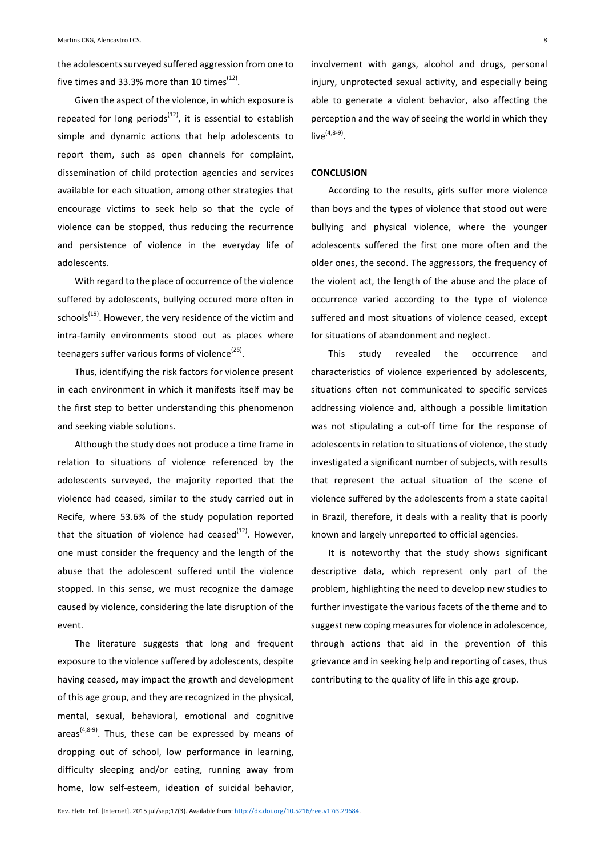the adolescents surveyed suffered aggression from one to five times and 33.3% more than 10 times<sup> $(12)$ </sup>.

Given the aspect of the violence, in which exposure is repeated for long periods<sup> $(12)$ </sup>, it is essential to establish simple and dynamic actions that help adolescents to report them, such as open channels for complaint, dissemination of child protection agencies and services available for each situation, among other strategies that encourage victims to seek help so that the cycle of violence can be stopped, thus reducing the recurrence and persistence of violence in the everyday life of adolescents. 

With regard to the place of occurrence of the violence suffered by adolescents, bullying occured more often in schools<sup>(19)</sup>. However, the very residence of the victim and intra-family environments stood out as places where teenagers suffer various forms of violence<sup>(25)</sup>.

Thus, identifying the risk factors for violence present in each environment in which it manifests itself may be the first step to better understanding this phenomenon and seeking viable solutions.

Although the study does not produce a time frame in relation to situations of violence referenced by the adolescents surveyed, the majority reported that the violence had ceased, similar to the study carried out in Recife, where 53.6% of the study population reported that the situation of violence had ceased<sup>(12)</sup>. However, one must consider the frequency and the length of the abuse that the adolescent suffered until the violence stopped. In this sense, we must recognize the damage caused by violence, considering the late disruption of the event.

The literature suggests that long and frequent exposure to the violence suffered by adolescents, despite having ceased, may impact the growth and development of this age group, and they are recognized in the physical, mental, sexual, behavioral, emotional and cognitive areas<sup> $(4,8-9)$ </sup>. Thus, these can be expressed by means of dropping out of school, low performance in learning, difficulty sleeping and/or eating, running away from home, low self-esteem, ideation of suicidal behavior,

involvement with gangs, alcohol and drugs, personal injury, unprotected sexual activity, and especially being able to generate a violent behavior, also affecting the perception and the way of seeing the world in which they  $live^{(4,8-9)}$ .

## **CONCLUSION**

According to the results, girls suffer more violence than boys and the types of violence that stood out were bullying and physical violence, where the younger adolescents suffered the first one more often and the older ones, the second. The aggressors, the frequency of the violent act, the length of the abuse and the place of occurrence varied according to the type of violence suffered and most situations of violence ceased, except for situations of abandonment and neglect.

This study revealed the occurrence and characteristics of violence experienced by adolescents, situations often not communicated to specific services addressing violence and, although a possible limitation was not stipulating a cut-off time for the response of adolescents in relation to situations of violence, the study investigated a significant number of subjects, with results that represent the actual situation of the scene of violence suffered by the adolescents from a state capital in Brazil, therefore, it deals with a reality that is poorly known and largely unreported to official agencies.

It is noteworthy that the study shows significant descriptive data, which represent only part of the problem, highlighting the need to develop new studies to further investigate the various facets of the theme and to suggest new coping measures for violence in adolescence, through actions that aid in the prevention of this grievance and in seeking help and reporting of cases, thus contributing to the quality of life in this age group.